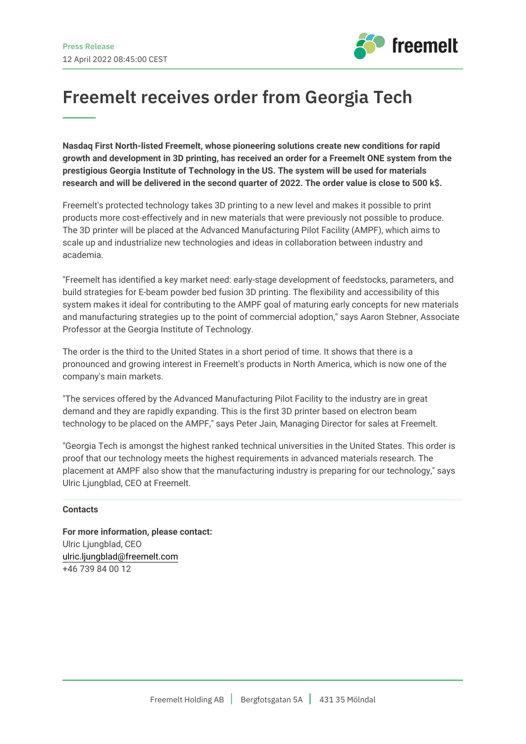

## **Freemelt receives order from Georgia Tech**

**Nasdaq First North-listed Freemelt, whose pioneering solutions create new conditions for rapid growth and development in 3D printing, has received an order for a Freemelt ONE system from the prestigious Georgia Institute of Technology in the US. The system will be used for materials research and will be delivered in the second quarter of 2022. The order value is close to 500 k\$.**

Freemelt's protected technology takes 3D printing to a new level and makes it possible to print products more cost-effectively and in new materials that were previously not possible to produce. The 3D printer will be placed at the Advanced Manufacturing Pilot Facility (AMPF), which aims to scale up and industrialize new technologies and ideas in collaboration between industry and academia.

"Freemelt has identified a key market need: early-stage development of feedstocks, parameters, and build strategies for E-beam powder bed fusion 3D printing. The flexibility and accessibility of this system makes it ideal for contributing to the AMPF goal of maturing early concepts for new materials and manufacturing strategies up to the point of commercial adoption," says Aaron Stebner, Associate Professor at the Georgia Institute of Technology.

The order is the third to the United States in a short period of time. It shows that there is a pronounced and growing interest in Freemelt's products in North America, which is now one of the company's main markets.

"The services offered by the Advanced Manufacturing Pilot Facility to the industry are in great demand and they are rapidly expanding. This is the first 3D printer based on electron beam technology to be placed on the AMPF," says Peter Jain, Managing Director for sales at Freemelt.

"Georgia Tech is amongst the highest ranked technical universities in the United States. This order is proof that our technology meets the highest requirements in advanced materials research. The placement at AMPF also show that the manufacturing industry is preparing for our technology," says Ulric Ljungblad, CEO at Freemelt.

## **Contacts**

**For more information, please contact:** Ulric Ljungblad, CEO [ulric.ljungblad@freemelt.com](mailto:ulric.ljungblad@freemelt.com) +46 739 84 00 12